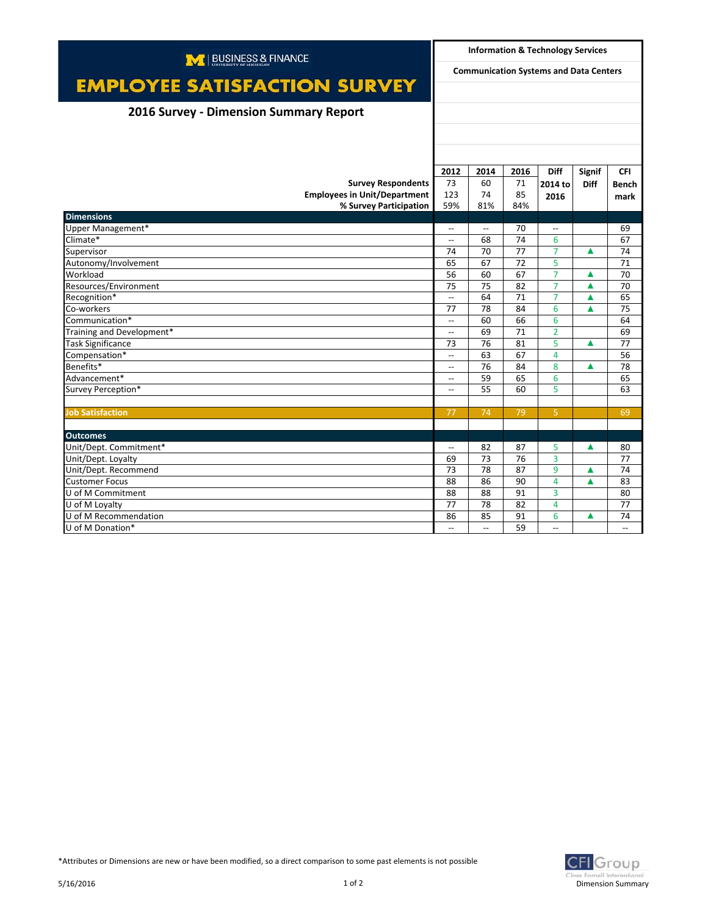| M   BUSINESS & FINANCE                        |                                               | <b>Information &amp; Technology Services</b> |          |                          |             |                          |  |
|-----------------------------------------------|-----------------------------------------------|----------------------------------------------|----------|--------------------------|-------------|--------------------------|--|
| <b>EMPLOYEE SATISFACTION SURVEY</b>           | <b>Communication Systems and Data Centers</b> |                                              |          |                          |             |                          |  |
|                                               |                                               |                                              |          |                          |             |                          |  |
| <b>2016 Survey - Dimension Summary Report</b> |                                               |                                              |          |                          |             |                          |  |
|                                               |                                               |                                              |          |                          |             |                          |  |
|                                               |                                               |                                              |          |                          |             |                          |  |
|                                               |                                               |                                              |          |                          |             |                          |  |
|                                               | 2012                                          | 2014                                         | 2016     | Diff                     | Signif      | <b>CFI</b>               |  |
| <b>Survey Respondents</b>                     | 73                                            | 60                                           | 71       | 2014 to                  | <b>Diff</b> | <b>Bench</b>             |  |
| <b>Employees in Unit/Department</b>           | 123                                           | 74                                           | 85       | 2016                     |             |                          |  |
| % Survey Participation                        | 59%                                           | 81%                                          | 84%      |                          |             | mark                     |  |
| <b>Dimensions</b>                             |                                               |                                              |          |                          |             |                          |  |
| Upper Management*                             | $\overline{\phantom{a}}$                      | $\overline{\phantom{a}}$                     | 70       | $\sim$                   |             | 69                       |  |
| Climate*                                      | $\overline{\phantom{a}}$                      | 68                                           | 74       | 6                        |             | 67                       |  |
| Supervisor                                    | 74                                            | 70                                           | 77       | $\overline{7}$           | ▲           | 74                       |  |
| Autonomy/Involvement                          | 65                                            | 67                                           | 72       | 5                        |             | 71                       |  |
| Workload                                      | 56                                            | 60                                           | 67       | $\overline{7}$           | ▲           | 70                       |  |
| Resources/Environment                         | 75                                            | 75                                           | 82       | $\overline{7}$           | ▲           | 70                       |  |
| Recognition*                                  | $\overline{\phantom{a}}$                      | 64                                           | 71       | $\overline{7}$           | ▲           | 65                       |  |
| Co-workers                                    | 77                                            | 78                                           | 84       | 6                        | ▲           | 75                       |  |
| Communication*                                | $\overline{\phantom{a}}$                      | 60                                           | 66       | 6                        |             | 64                       |  |
| Training and Development*                     | $\overline{\phantom{a}}$                      | 69                                           | 71       | $\overline{2}$           |             | 69                       |  |
| <b>Task Significance</b>                      | 73                                            | 76                                           | 81       | 5                        | ▲           | 77                       |  |
| Compensation*                                 | $\overline{\phantom{a}}$                      | 63                                           | 67       | 4                        |             | 56                       |  |
| Benefits*                                     | $\overline{\phantom{a}}$                      | 76                                           | 84       | 8                        | Δ           | 78                       |  |
| Advancement*                                  | $\overline{a}$                                | 59                                           | 65       | 6                        |             | 65                       |  |
| Survey Perception*                            | $\overline{\phantom{a}}$                      | 55                                           | 60       | 5                        |             | 63                       |  |
|                                               |                                               |                                              |          |                          |             |                          |  |
| <b>Job Satisfaction</b>                       | 77                                            | 74                                           | 79       | 5                        |             | 69                       |  |
|                                               |                                               |                                              |          |                          |             |                          |  |
| <b>Outcomes</b>                               | $\overline{\phantom{0}}$                      |                                              |          | 5                        | ▲           |                          |  |
| Unit/Dept. Commitment*<br>Unit/Dept. Loyalty  | 69                                            | 82<br>73                                     | 87<br>76 | 3                        |             | 80<br>77                 |  |
| Unit/Dept. Recommend                          | 73                                            | 78                                           | 87       | 9                        | ▲           | 74                       |  |
| <b>Customer Focus</b>                         | 88                                            | 86                                           | 90       | $\overline{4}$           | Δ           | 83                       |  |
| U of M Commitment                             | 88                                            | 88                                           | 91       | 3                        |             | 80                       |  |
| U of M Loyalty                                | 77                                            | 78                                           | 82       | 4                        |             | 77                       |  |
| U of M Recommendation                         | 86                                            | 85                                           | 91       | 6                        | ▲           | 74                       |  |
| U of M Donation*                              | $\overline{\phantom{a}}$                      | $\overline{\phantom{a}}$                     | 59       | $\overline{\phantom{a}}$ |             | $\overline{\phantom{a}}$ |  |